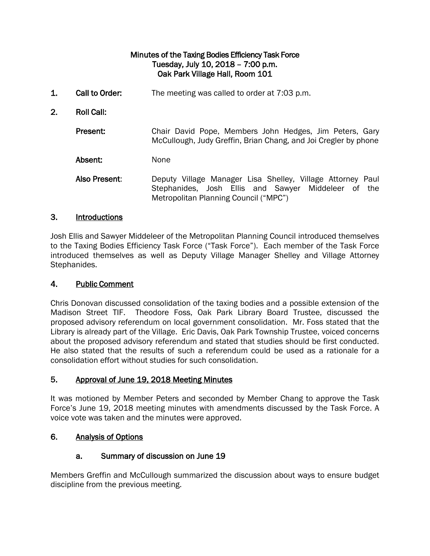### Minutes of the Taxing Bodies Efficiency Task Force Tuesday, July 10, 2018 – 7:00 p.m. Oak Park Village Hall, Room 101

- 1. Call to Order: The meeting was called to order at 7:03 p.m.
- 2. Roll Call:

Present: Chair David Pope, Members John Hedges, Jim Peters, Gary McCullough, Judy Greffin, Brian Chang, and Joi Cregler by phone

Absent: None

Also Present: Deputy Village Manager Lisa Shelley, Village Attorney Paul Stephanides, Josh Ellis and Sawyer Middeleer of the Metropolitan Planning Council ("MPC")

### 3. Introductions

Josh Ellis and Sawyer Middeleer of the Metropolitan Planning Council introduced themselves to the Taxing Bodies Efficiency Task Force ("Task Force"). Each member of the Task Force introduced themselves as well as Deputy Village Manager Shelley and Village Attorney Stephanides.

### 4. Public Comment

Chris Donovan discussed consolidation of the taxing bodies and a possible extension of the Madison Street TIF. Theodore Foss, Oak Park Library Board Trustee, discussed the proposed advisory referendum on local government consolidation. Mr. Foss stated that the Library is already part of the Village. Eric Davis, Oak Park Township Trustee, voiced concerns about the proposed advisory referendum and stated that studies should be first conducted. He also stated that the results of such a referendum could be used as a rationale for a consolidation effort without studies for such consolidation.

### 5. Approval of June 19, 2018 Meeting Minutes

It was motioned by Member Peters and seconded by Member Chang to approve the Task Force's June 19, 2018 meeting minutes with amendments discussed by the Task Force. A voice vote was taken and the minutes were approved.

### 6. Analysis of Options

### a. Summary of discussion on June 19

Members Greffin and McCullough summarized the discussion about ways to ensure budget discipline from the previous meeting.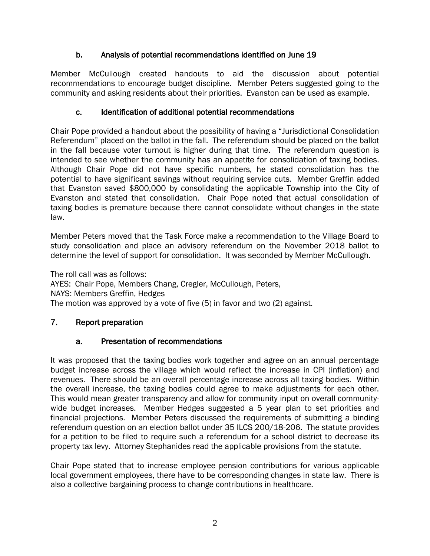# b. Analysis of potential recommendations identified on June 19

Member McCullough created handouts to aid the discussion about potential recommendations to encourage budget discipline. Member Peters suggested going to the community and asking residents about their priorities. Evanston can be used as example.

# c. Identification of additional potential recommendations

Chair Pope provided a handout about the possibility of having a "Jurisdictional Consolidation Referendum" placed on the ballot in the fall. The referendum should be placed on the ballot in the fall because voter turnout is higher during that time. The referendum question is intended to see whether the community has an appetite for consolidation of taxing bodies. Although Chair Pope did not have specific numbers, he stated consolidation has the potential to have significant savings without requiring service cuts. Member Greffin added that Evanston saved \$800,000 by consolidating the applicable Township into the City of Evanston and stated that consolidation. Chair Pope noted that actual consolidation of taxing bodies is premature because there cannot consolidate without changes in the state law.

Member Peters moved that the Task Force make a recommendation to the Village Board to study consolidation and place an advisory referendum on the November 2018 ballot to determine the level of support for consolidation. It was seconded by Member McCullough.

The roll call was as follows: AYES: Chair Pope, Members Chang, Cregler, McCullough, Peters, NAYS: Members Greffin, Hedges The motion was approved by a vote of five (5) in favor and two (2) against.

# 7. Report preparation

# a. Presentation of recommendations

It was proposed that the taxing bodies work together and agree on an annual percentage budget increase across the village which would reflect the increase in CPI (inflation) and revenues. There should be an overall percentage increase across all taxing bodies. Within the overall increase, the taxing bodies could agree to make adjustments for each other. This would mean greater transparency and allow for community input on overall communitywide budget increases. Member Hedges suggested a 5 year plan to set priorities and financial projections. Member Peters discussed the requirements of submitting a binding referendum question on an election ballot under 35 ILCS 200/18-206. The statute provides for a petition to be filed to require such a referendum for a school district to decrease its property tax levy. Attorney Stephanides read the applicable provisions from the statute.

Chair Pope stated that to increase employee pension contributions for various applicable local government employees, there have to be corresponding changes in state law. There is also a collective bargaining process to change contributions in healthcare.